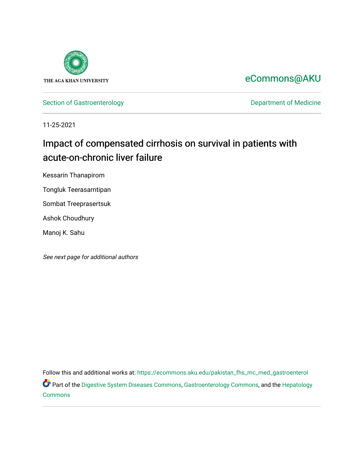

[eCommons@AKU](https://ecommons.aku.edu/) 

[Section of Gastroenterology](https://ecommons.aku.edu/pakistan_fhs_mc_med_gastroenterol) **Department of Medicine** 

11-25-2021

# Impact of compensated cirrhosis on survival in patients with acute-on-chronic liver failure

Kessarin Thanapirom

Tongluk Teerasarntipan

Sombat Treeprasertsuk

Ashok Choudhury

Manoj K. Sahu

See next page for additional authors

Follow this and additional works at: [https://ecommons.aku.edu/pakistan\\_fhs\\_mc\\_med\\_gastroenterol](https://ecommons.aku.edu/pakistan_fhs_mc_med_gastroenterol?utm_source=ecommons.aku.edu%2Fpakistan_fhs_mc_med_gastroenterol%2F310&utm_medium=PDF&utm_campaign=PDFCoverPages) Part of the [Digestive System Diseases Commons](http://network.bepress.com/hgg/discipline/986?utm_source=ecommons.aku.edu%2Fpakistan_fhs_mc_med_gastroenterol%2F310&utm_medium=PDF&utm_campaign=PDFCoverPages), [Gastroenterology Commons,](http://network.bepress.com/hgg/discipline/687?utm_source=ecommons.aku.edu%2Fpakistan_fhs_mc_med_gastroenterol%2F310&utm_medium=PDF&utm_campaign=PDFCoverPages) and the [Hepatology](http://network.bepress.com/hgg/discipline/1060?utm_source=ecommons.aku.edu%2Fpakistan_fhs_mc_med_gastroenterol%2F310&utm_medium=PDF&utm_campaign=PDFCoverPages)  [Commons](http://network.bepress.com/hgg/discipline/1060?utm_source=ecommons.aku.edu%2Fpakistan_fhs_mc_med_gastroenterol%2F310&utm_medium=PDF&utm_campaign=PDFCoverPages)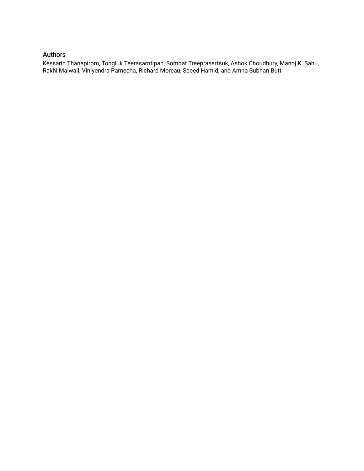## Authors

Kessarin Thanapirom, Tongluk Teerasarntipan, Sombat Treeprasertsuk, Ashok Choudhury, Manoj K. Sahu, Rakhi Maiwall, Viniyendra Pamecha, Richard Moreau, Saeed Hamid, and Amna Subhan Butt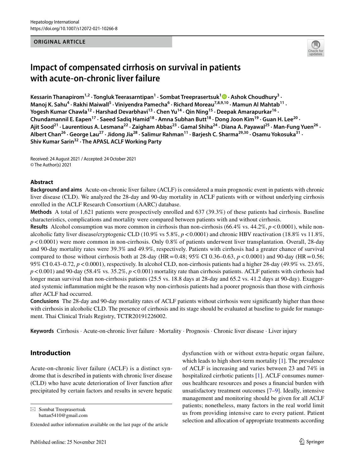#### **ORIGINAL ARTICLE**



## **Impact of compensated cirrhosis on survival in patients with acute‑on‑chronic liver failure**

Kessarin Thanapirom<sup>1,2</sup> [·](http://orcid.org/0000-0001-6459-8329) Tongluk Teerasarntipan<sup>1</sup> · Sombat Treeprasertsuk<sup>1</sup> • Ashok Choudhury<sup>3</sup> · Manoj K. Sahu<sup>4</sup> · Rakhi Maiwall<sup>5</sup> · Viniyendra Pamecha<sup>6</sup> · Richard Moreau<sup>7,8,9,10</sup> · Mamun Al Mahtab<sup>11</sup> · Yogesh Kumar Chawla<sup>12</sup> · Harshad Devarbhavi<sup>13</sup> · Chen Yu<sup>14</sup> · Qin Ning<sup>15</sup> · Deepak Amarapurkar<sup>16</sup> · Chundamannil E. Eapen<sup>17</sup> · Saeed Sadiq Hamid<sup>18</sup> · Amna Subhan Butt<sup>18</sup> · Dong Joon Kim<sup>19</sup> · Guan H. Lee<sup>20</sup> · Ajit Sood<sup>21</sup> · Laurentious A. Lesmana<sup>22</sup> · Zaigham Abbas<sup>23</sup> · Gamal Shiha<sup>24</sup> · Diana A. Payawal<sup>25</sup> · Man-Fung Yuen<sup>26</sup> · **Albert Chan26 · George Lau27 · Jidong Jia28 · Salimur Rahman11 · Barjesh C. Sharma29,30 · Osamu Yokosuka31 · Shiv Kumar Sarin32 · The APASL ACLF Working Party**

Received: 24 August 2021 / Accepted: 24 October 2021 © The Author(s) 2021

#### **Abstract**

**Background and aims** Acute-on-chronic liver failure (ACLF) is considered a main prognostic event in patients with chronic liver disease (CLD). We analyzed the 28-day and 90-day mortality in ACLF patients with or without underlying cirrhosis enrolled in the ACLF Research Consortium (AARC) database.

**Methods** A total of 1,621 patients were prospectively enrolled and 637 (39.3%) of these patients had cirrhosis. Baseline characteristics, complications and mortality were compared between patients with and without cirrhosis.

**Results** Alcohol consumption was more common in cirrhosis than non-cirrhosis (66.4% vs. 44.2%,  $p < 0.0001$ ), while nonalcoholic fatty liver disease/cryptogenic CLD (10.9% vs 5.8%, *p*<0.0001) and chronic HBV reactivation (18.8% vs 11.8%, *p*<0.0001) were more common in non-cirrhosis. Only 0.8% of patients underwent liver transplantation. Overall, 28-day and 90-day mortality rates were 39.3% and 49.9%, respectively. Patients with cirrhosis had a greater chance of survival compared to those without cirrhosis both at 28-day (HR = 0.48; 95% CI 0.36–0.63,  $p < 0.0001$ ) and 90-day (HR = 0.56; 95% CI 0.43–0.72, *p*<0.0001), respectively. In alcohol CLD, non-cirrhosis patients had a higher 28-day (49.9% vs. 23.6%,  $p$ <0.001) and 90-day (58.4% vs. 35.2%,  $p$ <0.001) mortality rate than cirrhosis patients. ACLF patients with cirrhosis had longer mean survival than non-cirrhosis patients (25.5 vs. 18.8 days at 28-day and 65.2 vs. 41.2 days at 90-day). Exaggerated systemic infammation might be the reason why non-cirrhosis patients had a poorer prognosis than those with cirrhosis after ACLF had occurred.

**Conclusions** The 28-day and 90-day mortality rates of ACLF patients without cirrhosis were signifcantly higher than those with cirrhosis in alcoholic CLD. The presence of cirrhosis and its stage should be evaluated at baseline to guide for management. Thai Clinical Trials Registry, TCTR20191226002.

**Keywords** Cirrhosis · Acute-on-chronic liver failure · Mortality · Prognosis · Chronic liver disease · Liver injury

## **Introduction**

Acute-on-chronic liver failure (ACLF) is a distinct syndrome that is described in patients with chronic liver disease (CLD) who have acute deterioration of liver function after precipitated by certain factors and results in severe hepatic

 $\boxtimes$  Sombat Treeprasertsuk battan5410@gmail.com dysfunction with or without extra-hepatic organ failure, which leads to high short-term mortality [\[1](#page-11-0)]. The prevalence of ACLF is increasing and varies between 23 and 74% in hospitalized cirrhotic patients [[1\]](#page-11-0). ACLF consumes numerous healthcare resources and poses a fnancial burden with unsatisfactory treatment outcomes [\[7–](#page-11-1)[9\]](#page-11-2). Ideally, intensive management and monitoring should be given for all ACLF patients; nonetheless, many factors in the real world limit us from providing intensive care to every patient. Patient selection and allocation of appropriate treatments according

Extended author information available on the last page of the article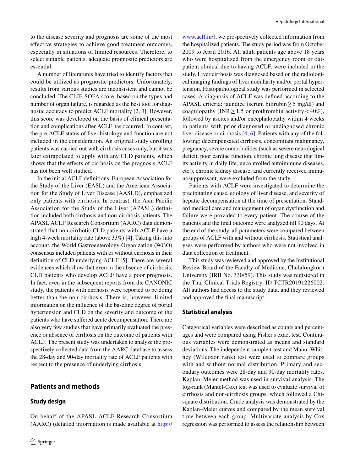to the disease severity and prognosis are some of the most efective strategies to achieve good treatment outcomes, especially in situations of limited resources. Therefore, to select suitable patients, adequate prognostic predictors are essential.

A number of literatures have tried to identify factors that could be utilized as prognostic predictors. Unfortunately, results from various studies are inconsistent and cannot be concluded. The CLIF-SOFA score, based on the types and number of organ failure, is regarded as the best tool for diagnostic accuracy to predict ACLF mortality [\[2](#page-11-3), [3](#page-11-4)]. However, this score was developed on the basis of clinical presentation and complications after ACLF has occurred. In contrast, the pre-ACLF status of liver histology and function are not included in the consideration. An original study enrolling patients was carried out with cirrhosis cases only, but it was later extrapolated to apply with any CLD patients, which shows that the efects of cirrhosis on the prognosis ACLF has not been well studied.

In the initial ACLF defnitions, European Association for the Study of the Liver (EASL) and the American Association for the Study of Liver Disease (AASLD), emphasized only patients with cirrhosis. In contrast, the Asia Pacifc Association for the Study of the Liver (APASL) defnition included both cirrhosis and non-cirrhosis patients. The APASL ACLF Research Consortium (AARC) data demonstrated that non-cirrhotic CLD patients with ACLF have a high 4-week mortality rate (above 33%) [[4\]](#page-11-5). Taking this into account, the World Gastroenterology Organization (WGO) consensus included patients with or without cirrhosis in their defnition of CLD underlying ACLF [\[5](#page-11-6)]. There are several evidences which show that even in the absence of cirrhosis, CLD patients who develop ACLF have a poor prognosis. In fact, even in the subsequent reports from the CANONIC study, the patients with cirrhosis were reported to be doing better than the non-cirrhosis. There is, however, limited information on the infuence of the baseline degree of portal hypertension and CLD on the severity and outcome of the patients who have sufered acute decompensation. There are also very few studies that have primarily evaluated the presence or absence of cirrhosis on the outcome of patients with ACLF. The present study was undertaken to analyze the prospectively collected data from the AARC database to assess the 28-day and 90-day mortality rate of ACLF patients with respect to the presence of underlying cirrhosis.

On behalf of the APASL ACLF Research Consortium (AARC) (detailed information is made available at [http://](http://www.aclf.in/)

## **Patients and methods**

#### **Study design**

[www.aclf.in/](http://www.aclf.in/)), we prospectively collected information from the hospitalized patients. The study period was from October 2009 to April 2016. All adult patients age above 18 years who were hospitalized from the emergency room or outpatient clinical due to having ACLF, were included in the study. Liver cirrhosis was diagnosed based on the radiological imaging fndings of liver nodularity and/or portal hypertension. Histopathological study was performed in selected cases. A diagnosis of ACLF was defned according to the APASL criteria: jaundice (serum bilirubin≥5 mg/dl) and coagulopathy (INR  $\geq$  1.5 or prothrombin activity < 40%), followed by ascites and/or encephalopathy within 4 weeks in patients with prior diagnosed or undiagnosed chronic liver disease or cirrhosis [[4,](#page-11-5) [6\]](#page-11-7). Patients with any of the following; decompensated cirrhosis, concomitant malignancy, pregnancy, severe comorbidities (such as severe neurological deficit, poor cardiac function, chronic lung disease that limits activity in daily life, uncontrolled autoimmune diseases, etc.), chronic kidney disease, and currently received immunosuppressant, were excluded from the study.

Patients with ACLF were investigated to determine the precipitating cause, etiology of liver disease, and severity of hepatic decompensation at the time of presentation. Standard medical care and management of organ dysfunction and failure were provided to every patient. The course of the patients and the fnal outcome were analyzed till 90 days. At the end of the study, all parameters were compared between groups of ACLF with and without cirrhosis. Statistical analyses were performed by authors who were not involved in data collection or treatment.

This study was reviewed and approved by the Institutional Review Board of the Faculty of Medicine, Chulalongkorn University (IRB No. 330/59). This study was registered in the Thai Clinical Trials Registry, ID TCTR20191226002. All authors had access to the study data, and they reviewed and approved the fnal manuscript.

#### **Statistical analysis**

Categorical variables were described as counts and percentages and were compared using Fisher's exact test. Continuous variables were demonstrated as means and standard deviations. The independent sample t-test and Mann–Whitney (Wilcoxon rank) test were used to compare groups with and without normal distribution. Primary and secondary outcomes were 28-day and 90-day mortality rates. Kaplan–Meier method was used in survival analysis. The log-rank (Mantel-Cox) test was used to evaluate survival of cirrhosis and non-cirrhosis groups, which followed a Chisquare distribution. Crude analysis was demonstrated by the Kaplan–Meier curves and compared by the mean survival time between each group. Multivariate analysis by Cox regression was performed to assess the relationship between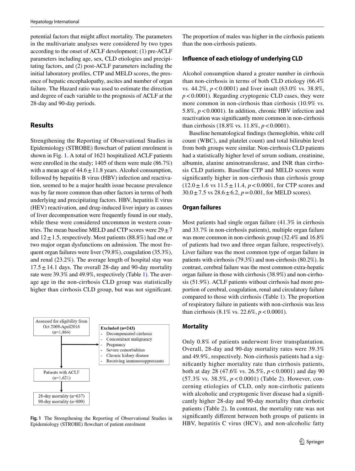potential factors that might afect mortality. The parameters in the multivariate analyses were considered by two types according to the onset of ACLF development; (1) pre-ACLF parameters including age, sex, CLD etiologies and precipitating factors, and (2) post-ACLF parameters including the initial laboratory profles, CTP and MELD scores, the presence of hepatic encephalopathy, ascites and number of organ failure. The Hazard ratio was used to estimate the direction and degree of each variable to the prognosis of ACLF at the 28-day and 90-day periods.

#### **Results**

Strengthening the Reporting of Observational Studies in Epidemiology (STROBE) fowchart of patient enrolment is shown in Fig. [1](#page-4-0). A total of 1621 hospitalized ACLF patients were enrolled in the study; 1405 of them were male (86.7%) with a mean age of  $44.6 \pm 11.8$  years. Alcohol consumption, followed by hepatitis B virus (HBV) infection and reactivation, seemed to be a major health issue because prevalence was by far more common than other factors in terms of both underlying and precipitating factors. HBV, hepatitis E virus (HEV) reactivation, and drug-induced liver injury as causes of liver decompensation were frequently found in our study, while these were considered uncommon in western countries. The mean baseline MELD and CTP scores were  $29 \pm 7$ and  $12 \pm 1.5$ , respectively. Most patients (88.8%) had one or two major organ dysfunctions on admission. The most frequent organ failures were liver (79.8%), coagulation (35.3%), and renal (23.2%). The average length of hospital stay was  $17.5 \pm 14.1$  days. The overall 28-day and 90-day mortality rate were 39.3% and 49.9%, respectively (Table [1](#page-5-0)). The average age in the non-cirrhosis CLD group was statistically higher than cirrhosis CLD group, but was not significant.



<span id="page-4-0"></span>**Fig. 1** The Strengthening the Reporting of Observational Studies in Epidemiology (STROBE) fowchart of patient enrolment

The proportion of males was higher in the cirrhosis patients than the non-cirrhosis patients.

#### **Infuence of each etiology of underlying CLD**

Alcohol consumption shared a greater number in cirrhosis than non-cirrhosis in terms of both CLD etiology (66.4% vs. 44.2%, *p*<0.0001) and liver insult (63.0% vs. 38.8%, *p*<0.0001). Regarding cryptogenic CLD cases, they were more common in non-cirrhosis than cirrhosis (10.9% vs. 5.8%, *p*<0.0001). In addition, chronic HBV infection and reactivation was signifcantly more common in non-cirrhosis than cirrhosis (18.8% vs. 11.8%,  $p < 0.0001$ ).

Baseline hematological fndings (hemoglobin, white cell count (WBC), and platelet count) and total bilirubin level from both groups were similar. Non-cirrhosis CLD patients had a statistically higher level of serum sodium, creatinine, albumin, alanine aminotransferase, and INR than cirrhosis CLD patients. Baseline CTP and MELD scores were signifcantly higher in non-cirrhosis than cirrhosis group  $(12.0 \pm 1.6 \text{ vs } 11.5 \pm 11.4, p < 0.0001, \text{ for CTP scores and})$  $30.0 \pm 7.5$  vs  $28.6 \pm 6.2$ ,  $p = 0.001$ , for MELD scores).

#### **Organ failures**

Most patients had single organ failure (41.3% in cirrhosis and 33.7% in non-cirrhosis patients), multiple organ failure was more common in non-cirrhosis group (32.4% and 16.8% of patients had two and three organ failure, respectively). Liver failure was the most common type of organ failure in patients with cirrhosis (79.3%) and non-cirrhosis (80.2%). In contrast, cerebral failure was the most common extra-hepatic organ failure in those with cirrhosis (38.9%) and non-cirrhosis (51.9%). ACLF patients without cirrhosis had more proportion of cerebral, coagulation, renal and circulatory failure compared to those with cirrhosis (Table [1\)](#page-5-0). The proportion of respiratory failure in patients with non-cirrhosis was less than cirrhosis (8.1% vs. 22.6%,  $p < 0.0001$ ).

#### **Mortality**

Only 0.8% of patients underwent liver transplantation. Overall, 28-day and 90-day mortality rates were 39.3% and 49.9%, respectively. Non-cirrhosis patients had a signifcantly higher mortality rate than cirrhosis patients, both at day 28 (47.6% vs. 26.5%, *p*<0.0001) and day 90 (57.3% vs. 38.5%, *p* < 0.0001) (Table [2](#page-6-0)). However, concerning etiologies of CLD, only non-cirrhotic patients with alcoholic and cryptogenic liver disease had a significantly higher 28-day and 90-day mortality than cirrhotic patients (Table [2\)](#page-6-0). In contrast, the mortality rate was not signifcantly diferent between both groups of patients in HBV, hepatitis C virus (HCV), and non-alcoholic fatty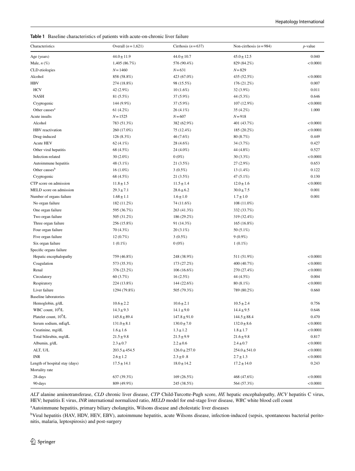<span id="page-5-0"></span>**Table 1** Baseline characteristics of patients with acute-on-chronic liver failure

| Characteristics                    | Overall $(n=1,621)$ | Cirrhosis $(n=637)$ | Non-cirrhosis $(n=984)$ | $p$ -value |  |
|------------------------------------|---------------------|---------------------|-------------------------|------------|--|
| Age (years)                        | $44.0 \pm 11.9$     | $44.0 \pm 10.7$     | $45.0 \pm 12.5$         | 0.040      |  |
| Male, $n$ $(\%)$                   | 1,405 (86.7%)       | 576 (90.4%)         | 829 (84.2%)             | < 0.0001   |  |
| CLD etiologies                     | $N = 1460$          | $N = 631$           | $N = 829$               |            |  |
| Alcohol                            | 858 (58.8%)         | 423 (67.0%)         | 435 (52.5%)             | < 0.0001   |  |
| <b>HBV</b>                         | 274 (18.8%)         | 98 (15.5%)          | 176 (21.2%)             | 0.007      |  |
| <b>HCV</b>                         | 42 (2.9%)           | 10(1.6%)            | $32(3.9\%)$             | 0.011      |  |
| <b>NASH</b>                        | 81 (5.5%)           | 37 (5.9%)           | 44 (5.3%)               | 0.646      |  |
| Cryptogenic                        | 144 (9.9%)          | 37 (5.9%)           | 107 (12.9%)             | < 0.0001   |  |
| Other causes <sup>a</sup>          | 61 $(4.2%)$         | 26 (4.1%)           | 35 (4.2%)               | 1.000      |  |
| Acute insults                      | $N = 1525$          | $N = 607$           | $N = 918$               |            |  |
| Alcohol                            | 783 (51.3%)         | 382 (62.9%)         | 401 (43.7%)             | < 0.0001   |  |
| HBV reactivation                   | 260 (17.0%)         | 75 (12.4%)          | 185 (20.2%)             | < 0.0001   |  |
| Drug-induced                       | 126 (8.3%)          | 46 (7.6%)           | 80 (8.7%)               | 0.449      |  |
| Acute HEV                          | 62 $(4.1\%)$        | 28 (4.6%)           | 34 (3.7%)               | 0.427      |  |
| Other viral hepatitis              | 68 (4.5%)           | 24 (4.0%)           | 44 (4.8%)               | 0.527      |  |
| Infection-related                  | $30(2.0\%)$         | $0(0\%)$            | 30(3.3%)                | < 0.0001   |  |
| Autoimmune hepatitis               | 48 (3.1%)           | 21 (3.5%)           | 27(2.9%)                | 0.653      |  |
| Other causes <sup>b</sup>          | $16(1.0\%)$         | $3(0.5\%)$          | $13(1.4\%)$             | 0.122      |  |
| Cryptogenic                        | 68 (4.5%)           | 21 (3.5%)           | 47 (5.1%)               | 0.130      |  |
| CTP score on admission             | $11.8 \pm 1.5$      | $11.5 \pm 1.4$      | $12.0 \pm 1.6$          | < 0.0001   |  |
| MELD score on admission            | $29.3 \pm 7.1$      | $28.6 \pm 6.2$      | $30.0 \pm 7.5$          | 0.001      |  |
| Number of organs failure           | $1.68 \pm 1.1$      | $1.6 \pm 1.0$       | $1.7 \pm 1.0$           | 0.001      |  |
| No organ failure                   | 182 (11.2%)         | 74 (11.6%)          | 108 (11.0%)             |            |  |
| One organ failure                  | 595 (36.7%)         | 263 (41.3%)         | 332 (33.7%)             |            |  |
| Two organ failure                  | 505 (31.2%)         | 186 (29.2%)         | 319 (32.4%)             |            |  |
| Three organ failure                | 256 (15.8%)         | 91 (14.3%)          | 165 (16.8%)             |            |  |
| Four organ failure                 | 70 (4.3%)           | $20(3.1\%)$         | 50 (5.1%)               |            |  |
| Five organ failure                 | 12(0.7%)            | 3(0.5%)             | $9(0.9\%)$              |            |  |
| Six organ failure                  | $1(0.1\%)$          | $0(0\%)$            | $1(0.1\%)$              |            |  |
| Specific organs failure            |                     |                     |                         |            |  |
| Hepatic encephalopathy             | 759 (46.8%)         | 248 (38.9%)         | 511 (51.9%)             | < 0.0001   |  |
| Coagulation                        | 573 (35.3%)         | 173 (27.2%)         | 400 (40.7%)             | < 0.0001   |  |
| Renal                              | 376 (23.2%)         | $106(16.6\%)$       | 270 (27.4%)             | < 0.0001   |  |
| Circulatory                        | 60 (3.7%)           | 16(2.5%)            | 44 (4.5%)               | 0.004      |  |
| Respiratory                        | 224 (13.8%)         | 144 (22.6%)         | 80 (8.1%)               | < 0.0001   |  |
| Liver failure                      | 1294 (79.8%)        | 505 (79.3%)         | 789 (80.2%)             | 0.660      |  |
| <b>Baseline</b> laboratories       |                     |                     |                         |            |  |
| Hemoglobin, g/dL                   | $10.6 \pm 2.2$      | $10.6 \pm 2.1$      | $10.5 \pm 2.4$          | 0.756      |  |
| WBC count, $10^9$ /L               | $14.3 \pm 9.3$      | $14.1\pm9.0$        | $14.4 \pm 9.5$          | 0.646      |  |
| Platelet count, 10 <sup>9</sup> /L | $145.8 \pm 89.4$    | $147.8 \pm 91.0$    | $144.5 \pm 88.4$        | 0.470      |  |
| Serum sodium, mEq/L                | $131.0 \pm 8.1$     | $130.0 \pm 7.0$     | $132.0 \pm 8.6$         | < 0.0001   |  |
| Creatinine, mg/dL                  | $1.6 \pm 1.6$       | $1.3 \pm 1.2$       | $1.8 \pm 1.7$           | < 0.0001   |  |
| Total bilirubin, mg/dL             | $21.5 \pm 9.8$      | $21.5 \pm 9.9$      | $21.6 \pm 9.8$          | 0.817      |  |
| Albumin, g/dL                      | $2.3 \pm 0.7$       | $2.2 \pm 0.6$       | $2.4 \pm 0.7$           | < 0.0001   |  |
| ALT, U/L                           | $203.5 \pm 454.5$   | $126.0 \pm 257.0$   | $254.0 \pm 541.0$       | < 0.0001   |  |
| <b>INR</b>                         | $2.6 \pm 1.2$       | $2.3 \pm 0.8$       | $2.7 \pm 1.3$           | < 0.0001   |  |
| Length of hospital stay (days)     | $17.5 \pm 14.1$     | $18.0 \pm 14.2$     | $17.2 \pm 14.0$         | 0.243      |  |
| Mortality rate                     |                     |                     |                         |            |  |
| 28-days                            | 637 (39.3%)         | 169 (26.5%)         | 468 (47.6%)             | < 0.0001   |  |
| 90-days                            | 809 (49.9%)         | 245 (38.5%)         | 564 (57.3%)             | < 0.0001   |  |
|                                    |                     |                     |                         |            |  |

*ALT* alanine aminotransferase, *CLD* chronic liver disease, *CTP* Child-Turcotte-Pugh score, *HE* hepatic encephalopathy, *HCV* hepatitis C virus, HEV; hepatitis E virus, *INR* international normalized ratio, *MELD* model for end-stage liver disease, *WBC* white blood cell count

<sup>a</sup> Autoimmune hepatitis, primary biliary cholangitis, Wilsons disease and cholestatic liver diseases

<sup>b</sup>Viral hepatitis (HAV, HDV, HEV, EBV), autoimmune hepatitis, acute Wilsons disease, infection-induced (sepsis, spontaneous bacterial peritonitis, malaria, leptospirosis) and post-surgery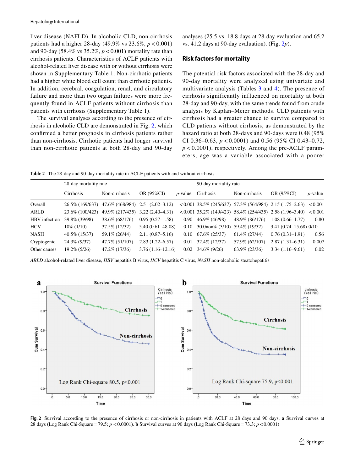liver disease (NAFLD). In alcoholic CLD, non-cirrhosis patients had a higher 28-day (49.9% vs  $23.6\%$ ,  $p < 0.001$ ) and 90-day (58.4% vs 35.2%, *p*<0.001) mortality rate than cirrhosis patients. Characteristics of ACLF patients with alcohol-related liver disease with or without cirrhosis were shown in Supplementary Table 1. Non-cirrhotic patients had a higher white blood cell count than cirrhotic patients. In addition, cerebral, coagulation, renal, and circulatory failure and more than two organ failures were more frequently found in ACLF patients without cirrhosis than patients with cirrhosis (Supplementary Table 1).

The survival analyses according to the presence of cirrhosis in alcoholic CLD are demonstrated in Fig. [2](#page-6-1), which confrmed a better prognosis in cirrhosis patients rather than non-cirrhosis. Cirrhotic patients had longer survival than non-cirrhotic patients at both 28-day and 90-day

analyses (25.5 vs. 18.8 days at 28-day evaluation and 65.2 vs. 41.2 days at 90-day evaluation). (Fig. [2](#page-6-1)*p*).

#### **Risk factors for mortality**

The potential risk factors associated with the 28-day and 90-day mortality were analyzed using univariate and multivariate analysis (Tables [3](#page-7-0) and [4\)](#page-8-0). The presence of cirrhosis significantly influenced on mortality at both 28-day and 90-day, with the same trends found from crude analysis by Kaplan–Meier methods. CLD patients with cirrhosis had a greater chance to survive compared to CLD patients without cirrhosis, as demonstrated by the hazard ratio at both 28-days and 90-days were 0.48 (95% CI 0.36–0.63, *p* < 0.0001) and 0.56 (95% CI 0.43–0.72,  $p < 0.0001$ ), respectively. Among the pre-ACLF parameters, age was a variable associated with a poorer

<span id="page-6-0"></span>**Table 2** The 28-day and 90-day mortality rate in ACLF patients with and without cirrhosis

|               | 28-day mortality rate |                                                  |                                  |            | 90-day mortality rate                |                                                                                |                                                                                                          |            |  |
|---------------|-----------------------|--------------------------------------------------|----------------------------------|------------|--------------------------------------|--------------------------------------------------------------------------------|----------------------------------------------------------------------------------------------------------|------------|--|
|               | Cirrhosis             | Non-cirrhosis                                    | OR (95%CI)                       | $p$ -value | Cirrhosis                            | Non-cirrhosis                                                                  | OR (95%CI)                                                                                               | $p$ -value |  |
| Overall       |                       | 26.5% (169/637) 47.6% (468/984) 2.51 (2.02–3.12) |                                  |            |                                      | $\langle 0.001 \ 38.5\% \ (245/637) \ 57.3\% \ (564/984) \ 2.15 \ (1.75-2.63)$ |                                                                                                          | < 0.001    |  |
| ARLD          | 23.6\% (100/423)      |                                                  | 49.9% (217/435) 3.22 (2.40–4.31) |            |                                      |                                                                                | $\langle 0.001 \ 35.2\% \ (149/423) \ 58.4\% \ (254/435) \ 2.58 \ (1.96-3.40) \ \langle 0.001 \ \rangle$ |            |  |
| HBV infection | 39.8% (39/98)         | 38.6% (68/176)                                   | $0.95(0.57-1.58)$                | 0.90       | 46.9% (46/98)                        | 48.9% (86/176)                                                                 | $1.08(0.66 - 1.77)$                                                                                      | 0.80       |  |
| <b>HCV</b>    | $10\%$ (1/10)         | 37.5% (12/32)                                    | $5.40(0.61 - 48.08)$             | 0.10       | $30.0$ non% $(3/10)$ 59.4% $(19/32)$ |                                                                                | $3.41(0.74 - 15.68)0/10$                                                                                 |            |  |
| <b>NASH</b>   | 40.5% (15/37)         | 59.1\% (26/44)                                   | $2.11(0.87 - 5.16)$              |            | $0.10 \quad 67.6\% \; (25/37)$       | $61.4\%$ (27/44)                                                               | $0.76(0.31-1.91)$                                                                                        | 0.56       |  |
| Cryptogenic   | 24.3% (9/37)          | 47.7% (51/107)                                   | $2.83(1.22 - 6.57)$              | 0.01       | 32.4% (12/37)                        | 57.9% (62/107)                                                                 | $2.87(1.31 - 6.31)$                                                                                      | 0.007      |  |
| Other causes  | $19.2\%$ (5/26)       | 47.2% (17/36)                                    | $3.76(1.16-12.16)$               |            | $0.02 \quad 34.6\% \quad (9/26)$     | 63.9% (23/36)                                                                  | $3.34(1.16-9.61)$                                                                                        | 0.02       |  |

*ARLD* alcohol-related liver disease, *HBV* hepatitis B virus, *HCV* hepatitis C virus, *NASH* non-alcoholic steatohepatitis



<span id="page-6-1"></span>**Fig. 2** Survival according to the presence of cirrhosis or non-cirrhosis in patients with ACLF at 28 days and 90 days. **a** Survival curves at 28 days (Log Rank Chi-Square=79.5; *p* <0.0001). **b** Survival curves at 90 days (Log Rank Chi-Square=73.3; *p*<0.0001)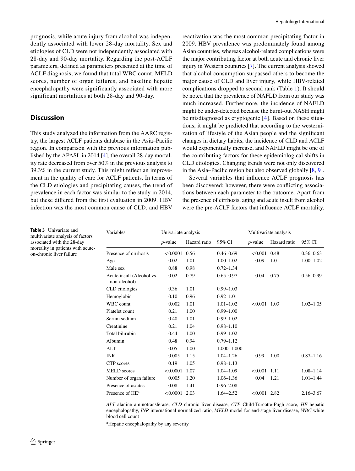prognosis, while acute injury from alcohol was independently associated with lower 28-day mortality. Sex and etiologies of CLD were not independently associated with 28-day and 90-day mortality. Regarding the post-ACLF parameters, defined as parameters presented at the time of ACLF diagnosis, we found that total WBC count, MELD scores, number of organ failures, and baseline hepatic encephalopathy were significantly associated with more significant mortalities at both 28-day and 90-day.

### **Discussion**

This study analyzed the information from the AARC registry, the largest ACLF patients database in the Asia–Pacifc region. In comparison with the previous information published by the APASL in 2014 [[4\]](#page-11-5), the overall 28-day mortality rate decreased from over 50% in the previous analysis to 39.3% in the current study. This might refect an improvement in the quality of care for ACLF patients. In terms of the CLD etiologies and precipitating causes, the trend of prevalence in each factor was similar to the study in 2014, but these difered from the frst evaluation in 2009. HBV infection was the most common cause of CLD, and HBV

reactivation was the most common precipitating factor in 2009. HBV prevalence was predominately found among Asian countries, whereas alcohol-related complications were the major contributing factor at both acute and chronic liver injury in Western countries [\[7](#page-11-1)]. The current analysis showed that alcohol consumption surpassed others to become the major cause of CLD and liver injury, while HBV-related complications dropped to second rank (Table [1](#page-5-0)). It should be noted that the prevalence of NAFLD from our study was much increased. Furthermore, the incidence of NAFLD might be under-detected because the burnt-out NASH might be misdiagnosed as cryptogenic [[4](#page-11-5)]. Based on these situations, it might be predicted that according to the westernization of lifestyle of the Asian people and the signifcant changes in dietary habits, the incidence of CLD and ACLF would exponentially increase, and NAFLD might be one of the contributing factors for these epidemiological shifts in CLD etiologies. Changing trends were not only discovered in the Asia–Pacifc region but also observed globally [\[8](#page-11-8), [9](#page-11-2)].

Several variables that infuence ACLF prognosis has been discovered; however, there were conficting associations between each parameter to the outcome. Apart from the presence of cirrhosis, aging and acute insult from alcohol were the pre-ACLF factors that infuence ACLF mortality,

| Variables                                 | Univariate analysis |              |               | Multivariate analysis |              |               |  |
|-------------------------------------------|---------------------|--------------|---------------|-----------------------|--------------|---------------|--|
|                                           | $p$ -value          | Hazard ratio | 95% CI        | $p$ -value            | Hazard ratio | 95% CI        |  |
| Presence of cirrhosis                     | < 0.0001            | 0.56         | $0.46 - 0.69$ | < 0.001               | 0.48         | $0.36 - 0.63$ |  |
| Age                                       | 0.02                | 1.01         | $1.00 - 1.02$ | 0.09                  | 1.01         | $1.00 - 1.02$ |  |
| Male sex                                  | 0.88                | 0.98         | $0.72 - 1.34$ |                       |              |               |  |
| Acute insult (Alcohol vs.<br>non-alcohol) | 0.02                | 0.79         | $0.65 - 0.97$ | 0.04                  | 0.75         | $0.56 - 0.99$ |  |
| CLD etiologies                            | 0.36                | 1.01         | $0.99 - 1.03$ |                       |              |               |  |
| Hemoglobin                                | 0.10                | 0.96         | $0.92 - 1.01$ |                       |              |               |  |
| <b>WBC</b> count                          | 0.002               | 1.01         | $1.01 - 1.02$ | < 0.001               | 1.03         | $1.02 - 1.05$ |  |
| Platelet count                            | 0.21                | 1.00         | $0.99 - 1.00$ |                       |              |               |  |
| Serum sodium                              | 0.40                | 1.01         | $0.99 - 1.02$ |                       |              |               |  |
| Creatinine                                | 0.21                | 1.04         | $0.98 - 1.10$ |                       |              |               |  |
| Total bilirubin                           | 0.44                | 1.00         | $0.99 - 1.02$ |                       |              |               |  |
| Albumin                                   | 0.48                | 0.94         | $0.79 - 1.12$ |                       |              |               |  |
| <b>ALT</b>                                | 0.05                | 1.00         | 1.000-1.000   |                       |              |               |  |
| <b>INR</b>                                | 0.005               | 1.15         | $1.04 - 1.26$ | 0.99                  | 1.00         | $0.87 - 1.16$ |  |
| CTP scores                                | 0.19                | 1.05         | $0.98 - 1.13$ |                       |              |               |  |
| <b>MELD</b> scores                        | < 0.0001            | 1.07         | $1.04 - 1.09$ | < 0.001<br>1.11       |              | $1.08 - 1.14$ |  |
| Number of organ failure                   | 0.005               | 1.20         | 1.06–1.36     | 0.04                  | 1.21         | $1.01 - 1.44$ |  |
| Presence of ascites                       | 0.08                | 1.41         | $0.96 - 2.08$ |                       |              |               |  |
| Presence of HE <sup>a</sup>               | < 0.0001            | 2.03         | 1.64-2.52     | $< 0.001$ 2.82        |              | $2.16 - 3.67$ |  |

*ALT* alanine aminotransferase, *CLD* chronic liver disease, *CTP* Child-Turcotte-Pugh score, *HE* hepatic encephalopathy, *INR* international normalized ratio, *MELD* model for end-stage liver disease, *WBC* white blood cell count

a Hepatic encephalopathy by any severity

<span id="page-7-0"></span>**Table 3** Univariate and multivariate analysis of factors associated with the 28-day mortality in patients with acuteon-chronic liver failure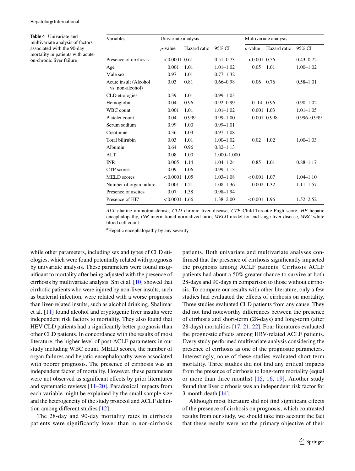<span id="page-8-0"></span>**Table 4** Univariate and multivariate analysis of factors associated with the 90-day mortality in patients with acuteon-chronic liver failure

| Variables                                 | Univariate analysis |              |                 |                       |              |               |  |
|-------------------------------------------|---------------------|--------------|-----------------|-----------------------|--------------|---------------|--|
|                                           |                     |              |                 | Multivariate analysis |              |               |  |
|                                           | $p$ -value          | Hazard ratio | 95% CI          | $p$ -value            | Hazard ratio | 95% CI        |  |
| Presence of cirrhosis                     | $< 0.0001$ 0.61     |              | $0.51 - 0.73$   | $< 0.001$ 0.56        |              | $0.43 - 0.72$ |  |
| Age                                       | 0.001               | 1.01         | $1.01 - 1.02$   | 0.05                  | 1.01         | $1.00 - 1.02$ |  |
| Male sex                                  | 0.97                | 1.01         | $0.77 - 1.32$   |                       |              |               |  |
| Acute insult (Alcohol<br>vs. non-alcohol) | 0.03                | 0.81         | $0.66 - 0.98$   | 0.06                  | 0.76         | $0.58 - 1.01$ |  |
| CLD etiologies                            | 0.39                | 1.01         | $0.99 - 1.03$   |                       |              |               |  |
| Hemoglobin                                | 0.04                | 0.96         | $0.92 - 0.99$   | $0.14$ 0.96           |              | $0.90 - 1.02$ |  |
| WBC count                                 | 0.001               | 1.01         | $1.01 - 1.02$   | 0.001 1.03            |              | $1.01 - 1.05$ |  |
| Platelet count                            | 0.04                | 0.999        | $0.99 - 1.00$   |                       | 0.001 0.998  | 0.996-0.999   |  |
| Serum sodium                              | 0.99                | 1.00         | $0.99 - 1.01$   |                       |              |               |  |
| Creatinine                                | 0.36                | 1.03         | $0.97 - 1.08$   |                       |              |               |  |
| Total bilirubin                           | 0.03                | 1.01         | $1.00 - 1.02$   | 0.02                  | 1.02         | $1.00 - 1.03$ |  |
| Albumin                                   | 0.64                | 0.96         | $0.82 - 1.13$   |                       |              |               |  |
| ALT                                       | 0.08                | 1.00         | $1.000 - 1.000$ |                       |              |               |  |
| <b>INR</b>                                | 0.005               | 1.14         | $1.04 - 1.24$   | 0.85                  | 1.01         | $0.88 - 1.17$ |  |
| CTP scores                                | 0.09                | 1.06         | $0.99 - 1.13$   |                       |              |               |  |
| <b>MELD</b> scores                        | $< 0.0001$ 1.05     |              | $1.03 - 1.08$   | $< 0.001$ 1.07        |              | $1.04 - 1.10$ |  |
| Number of organ failure                   | 0.001               | 1.21         | $1.08 - 1.36$   | 0.002 1.32            |              | $1.11 - 1.57$ |  |
| Presence of ascites                       | 0.07                | 1.38         | $0.98 - 1.94$   |                       |              |               |  |
| Presence of HE <sup>a</sup>               | $< 0.0001$ 1.66     |              | $1.38 - 2.00$   | $< 0.001$ 1.96        |              | $1.52 - 2.52$ |  |

*ALT* alanine aminotransferase, *CLD* chronic liver disease, *CTP* Child-Turcotte-Pugh score, *HE* hepatic encephalopathy, *INR* international normalized ratio, *MELD* model for end-stage liver disease, *WBC* white blood cell count

a Hepatic encephalopathy by any severity

while other parameters, including sex and types of CLD etiologies, which were found potentially related with prognosis by univariate analysis. These parameters were found insignifcant to mortality after being adjusted with the presence of cirrhosis by multivariate analysis. Shi et al. [\[10](#page-11-9)] showed that cirrhotic patients who were injured by non-liver insults, such as bacterial infection, were related with a worse prognosis than liver-related insults, such as alcohol drinking. Shalimar et al. [[11](#page-11-10)] found alcohol and cryptogenic liver insults were independent risk factors to mortality. They also found that HEV CLD patients had a signifcantly better prognosis than other CLD patients. In concordance with the results of most literature, the higher level of post-ACLF parameters in our study including WBC count, MELD scores, the number of organ failures and hepatic encephalopathy were associated with poorer prognosis. The presence of cirrhosis was an independent factor of mortality. However, these parameters were not observed as significant effects by prior literatures and systematic reviews [[11](#page-11-10)[–20](#page-12-0)]. Paradoxical impacts from each variable might be explained by the small sample size and the heterogeneity of the study protocol and ACLF defnition among diferent studies [[12\]](#page-11-11).

The 28-day and 90-day mortality rates in cirrhosis patients were significantly lower than in non-cirrhosis

patients. Both univariate and multivariate analyses confrmed that the presence of cirrhosis signifcantly impacted the prognosis among ACLF patients. Cirrhosis ACLF patients had about a 50% greater chance to survive at both 28-days and 90-days in comparison to those without cirrhosis. To compare our results with other literature, only a few studies had evaluated the efects of cirrhosis on mortality. Three studies evaluated CLD patients from any cause. They did not fnd noteworthy diferences between the presence of cirrhosis and short-term (28-days) and long-term (after 28-days) mortalities [[17](#page-11-12), [21](#page-12-1), [22](#page-12-2)]. Four literatures evaluated the prognostic efects among HBV-related ACLF patients. Every study performed multivariate analysis considering the presence of cirrhosis as one of the prognostic parameters. Interestingly, none of these studies evaluated short-term mortality. Three studies did not fnd any critical impacts from the presence of cirrhosis to long-term mortality (equal or more than three months) [[15](#page-11-13), [16,](#page-11-14) [19](#page-12-3)]. Another study found that liver cirrhosis was an independent risk factor for 3-month death [[14\]](#page-11-15).

Although most literature did not fnd signifcant efects of the presence of cirrhosis on prognosis, which contrasted results from our study, we should take into account the fact that these results were not the primary objective of their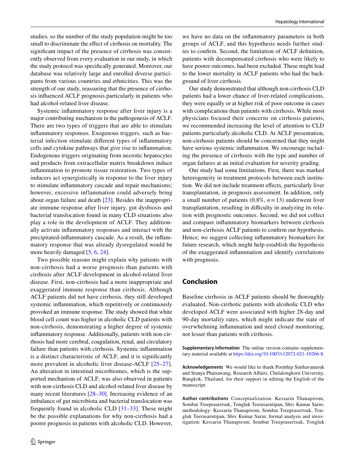studies, so the number of the study population might be too small to discriminate the efect of cirrhosis on mortality. The signifcant impact of the presence of cirrhosis was consistently observed from every evaluation in our study, in which the study protocol was specifcally generated. Moreover, our database was relatively large and enrolled diverse participants from various countries and ethnicities. This was the strength of our study, reassuring that the presence of cirrhosis infuenced ACLF prognosis particularly in patients who had alcohol-related liver disease.

Systemic infammatory response after liver injury is a major contributing mechanism in the pathogenesis of ACLF. There are two types of triggers that are able to stimulate infammatory responses. Exogenous triggers, such as bacterial infection stimulate diferent types of infammatory cells and cytokine pathways that give rise to infammation. Endogenous triggers originating from necrotic hepatocytes and products from extracellular matrix breakdown induce infammation to promote tissue restoration. Two types of inducers act synergistically in response to the liver injury to stimulate infammatory cascade and repair mechanisms; however, excessive inflammation could adversely bring about organ failure and death [[23\]](#page-12-4). Besides the inappropriate immune response after liver injury, gut dysbiosis and bacterial translocation found in many CLD situations also play a role in the development of ACLF. They additionally activate infammatory responses and interact with the precipitated-infammatory cascade. As a result, the infammatory response that was already dysregulated would be more heavily damaged [[5](#page-11-6), [6](#page-11-7), [24](#page-12-5)].

Two possible reasons might explain why patients with non-cirrhosis had a worse prognosis than patients with cirrhosis after ACLF development in alcohol-related liver disease. First, non-cirrhosis had a more inappropriate and exaggerated immune response than cirrhosis. Although ACLF patients did not have cirrhosis, they still developed systemic infammation, which repetitively or continuously provoked an immune response. The study showed that white blood cell count was higher in alcoholic CLD patients with non-cirrhosis, demonstrating a higher degree of systemic infammatory response. Additionally, patients with non-cirrhosis had more cerebral, coagulation, renal, and circulatory failure than patients with cirrhosis. Systemic infammation is a distinct characteristic of ACLF, and it is signifcantly more prevalent in alcoholic liver disease-ACLF [\[25–](#page-12-6)[27](#page-12-7)]. An alteration in intestinal microbiomes, which is the supported mechanism of ACLF, was also observed in patients with non-cirrhosis CLD and alcohol-related liver disease by many recent literatures [[28–](#page-12-8)[30\]](#page-12-9). Increasing evidence of an imbalance of gut microbiota and bacterial translocation was frequently found in alcoholic CLD [\[31–](#page-12-10)[33](#page-12-11)]. These might be the possible explanations for why non-cirrhosis had a poorer prognosis in patients with alcoholic CLD. However,

we have no data on the infammatory parameters in both groups of ACLF, and this hypothesis needs further studies to confrm. Second, the limitation of ACLF defnition, patients with decompensated cirrhosis who were likely to have poorer outcomes, had been excluded. These might lead to the lower mortality in ACLF patients who had the background of liver cirrhosis.

Our study demonstrated that although non-cirrhosis CLD patients had a lower chance of liver-related complications, they were equally or at higher risk of poor outcome in cases with complications than patients with cirrhosis. While most physicians focused their concerns on cirrhosis patients, we recommended increasing the level of attention to CLD patients particularly alcoholic CLD. At ACLF presentation, non-cirrhosis patients should be concerned that they might have serious systemic infammation. We encourage including the presence of cirrhosis with the type and number of organ failures at an initial evaluation for severity grading.

Our study had some limitations. First, there was marked heterogeneity in treatment protocols between each institution. We did not include treatment efects, particularly liver transplantation, in prognosis assessment. In addition, only a small number of patients  $(0.8\%, n=13)$  underwent liver transplantation, resulting in difficulty in analyzing its relation with prognostic outcomes. Second, we did not collect and compare infammatory biomarkers between cirrhosis and non-cirrhosis ACLF patients to confrm our hypothesis. Hence, we suggest collecting infammatory biomarkers for future research, which might help establish the hypothesis of the exaggerated infammation and identify correlations with prognosis.

## **Conclusion**

Baseline cirrhosis in ACLF patients should be thoroughly evaluated. Non-cirrhotic patients with alcoholic CLD who developed ACLF were associated with higher 28-day and 90-day mortality rates, which might indicate the state of overwhelming infammation and need closed monitoring, not lesser than patients with cirrhosis.

**Supplementary Information** The online version contains supplementary material available at<https://doi.org/10.1007/s12072-021-10266-8>.

**Acknowledgements** We would like to thank Pornthip Sinthavanuruk and Sranya Phaisawang, Research Afairs, Chulalongkorn University, Bangkok, Thailand, for their support in editing the English of the manuscript.

**Author contributions** Conceptualization: Kessarin Thanapirom, Sombat Treeprasertsuk, Tongluk Teerasarntipan, Shiv Kumar Sarin; methodology: Kessarin Thanapirom, Sombat Treeprasertsuk, Tongluk Teerasarntipan, Shiv Kumar Sarin; formal analysis and investigation: Kessarin Thanapirom, Sombat Treeprasertsuk, Tongluk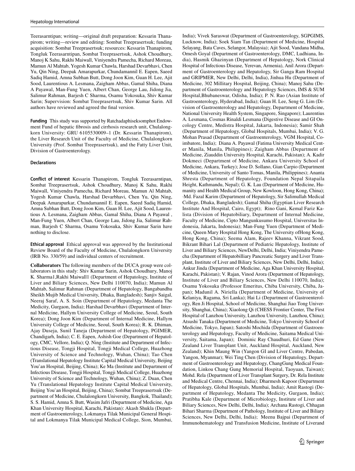Teerasarntipan; writing—original draft preparation: Kessarin Thanapirom; writing—review and editing: Sombat Treeprasertsuk; funding acquisition: Sombat Treeprasertsuk; resources: Kessarin Thanapirom, Tongluk Teerasarntipan, Sombat Treeprasertsuk, Ashok Choudhury, Manoj K Sahu, Rakhi Maiwall, Viniyendra Pamecha, Richard Moreau, Mamun Al Mahtab, Yogesh Kumar Chawla, Harshad Devarbhavi, Chen Yu, Qin Ning, Deepak Amarapurkar, Chundamannil E. Eapen, Saeed Sadiq Hamid, Amna Subhan Butt, Dong Joon Kim, Guan H. Lee, Ajit Sood, Laurentious A. Lesmana, Zaigham Abbas, Gamal Shiha, Diana A Payawal, Man-Fung Yuen, Albert Chan, George Lau, Jidong Jia, Salimur Rahman, Barjesh C Sharma, Osamu Yokosuka, Shiv Kumar Sarin; Supervision: Sombat Treeprasertsuk, Shiv Kumar Sarin. All authors have reviewed and agreed the fnal version.

**Funding** This study was supported by Ratchadaphiseksomphot Endowment Fund of hepatic fbrosis and cirrhosis research unit, Chulalongkorn University: GRU 6105530009–1 (Dr. Kessarin Thanapirom), the Liver Research Unit of the Faculty of Medicine, Chulalongkorn University (Prof. Sombat Treeprasertsuk), and the Fatty Liver Unit, Division of Gastroenterology.

#### **Declarations**

**Conflict of interest** Kessarin Thanapirom, Tongluk Teerasarntipan, Sombat Treeprasertsuk, Ashok Choudhury, Manoj K Sahu, Rakhi Maiwall, Viniyendra Pamecha, Richard Moreau, Mamun Al Mahtab, Yogesh Kumar Chawla, Harshad Devarbhavi, Chen Yu, Qin Ning, Deepak Amarapurkar, Chundamannil E. Eapen, Saeed Sadiq Hamid, Amna Subhan Butt, Dong Joon Kim, Guan H. Lee, Ajit Sood, Laurentious A. Lesmana, Zaigham Abbas, Gamal Shiha, Diana A Payawal , Man-Fung Yuen, Albert Chan, George Lau, Jidong Jia, Salimur Rahman, Barjesh C Sharma, Osamu Yokosuka, Shiv Kumar Sarin have nothing to disclose.

**Ethical approval** Ethical approval was approved by the Institutional Review Board of the Faculty of Medicine, Chulalongkorn University (IRB No. 330/59) and individual centers of recruitment.

**Collaborators** The following members of the DUCA group were collaborators in this study: Shiv Kumar Sarin, Ashok Choudhury, Manoj K. Sharma1,Rakhi Maiwall1 (Department of Hepatology, Institute of Liver and Biliary Sciences, New Delhi 110070, India); Mamun Al Mahtab, Salimur Rahman (Department of Hepatology, Bangabandhu Sheikh Mujib Medical University, Dhaka, Bangladesh); Sanjiv Saigal, Neeraj Saraf, A. S. Soin (Department of Hepatology, Medanta The Medicity, Gurgaon, India); Harshad Devarbhavi (Department of Internal Medicine, Hallym University College of Medicine, Seoul, South Korea); Dong Joon Kim (Department of Internal Medicine, Hallym University College of Medicine, Seoul, South Korea); R. K. Dhiman, Ajay Duseja, Sunil Taneja (Department of Hepatology, PGIMER, Chandigarh, India); C. E. Eapen, Ashish Goe (Department of Hepatology, CMC, Vellore, India); Q. Ning (Institute and Department of Infectious Disease, Tongji Hospital, Tongji Medical College, Huazhong University of Science and Technology, Wuhan, China); Tao Chen (Translational Hepatology Institute Capital Medical University, Beijing You'an Hospital, Beijing, China); Ke Ma (Institute and Department of Infectious Disease, Tongji Hospital, Tongji Medical College, Huazhong University of Science and Technology, Wuhan, China); Z. Duan, Chen Yu (Translational Hepatology Institute Capital Medical University, Beijing You'an Hospital, Beijing, China); Sombat Treeprasertsuk (Department of Medicine, Chulalongkorn University, Bangkok, Thailand); S. S. Hamid, Amna S. Butt, Wasim Jafri (Department of Medicine, Aga Khan University Hospital, Karachi, Pakistan): Akash Shukla (Department of Gastroenterology, Lokmanya Tilak Municipal General Hospital and Lokmanya Tilak Municipal Medical College, Sion, Mumbai,

India); Vivek Saraswat (Department of Gastroenterology, SGPGIMS, Lucknow, India); Soek Siam Tan (Department of Medicine, Hospital Selayang, Bata Caves, Selangor, Malaysia); Ajit Sood, Vandana Midha, Omesh Goyal (Department of Gastroenterology, DMC, Ludhiana, India), Hasmik Ghazinyan (Department of Hepatology, Nork Clinical Hospital of Infectious Disease, Yerevan, Armenia), Anil Arora (Department of Gastroenterology and Hepatology, Sir Ganga Ram Hospital and GRIPMER, New Delhi, Delhi, India), Jinhua Hu (Department of Medicine, 302 Millitary Hospital, Beijing, China); Manoj Sahu (Department of Gastroenterology and Hepatology Sciences, IMS & SUM Hospital,Bhubaneswar, Odisha, India); P. N. Rao (Asian Institute of Gastroenterology, Hyderabad, India); Guan H. Lee, Seng G. Lim (Division of Gastroenterology and Hepatology, Department of Medicine, National University Health System, Singapore, Singapore); Laurentius A. Lesmana, Cosmas Rinaldi Lesmana (Digestive Disease and GI Oncology Centre, Medistra Hospital, Jakarta, Indonesia); Samir Shah (Department of Hepatology, Global Hospitals, Mumbai, India); V. G. Mohan Prasad (Department of Gastroenterology, VGM Hospital, Coimbatore, India); Diana A. Payawal (Fatima University Medical Center Manila, Manila, Philippines); Zaigham Abbas (Department of Medicine, Ziauddin University Hospital, Karachi, Pakistan); A. Kadir Dokmeci (Department of Medicine, Ankara University School of Medicine, Ankara, Turkey); Jose D. Sollano, Gian Carpio (Department of Medicine, University of Santo Tomas, Manila, Philippines); Ananta Shresta (Department of Hepatology, Foundation Nepal Sitapaila Height, Kathmandu, Nepal); G. K. Lau (Department of Medicine, Humanity and Health Medical Group, New Kowloon, Hong Kong, China); ·Md. Fazal Karim (Department of Hepatology, Sir Salimullah Medical College, Dhaka, Bangladesh); Gamal Shiha (Egyptian Liver Research Institute And Hospital, Cairo, Egypt); Rino Gani, Kemal Fariz Kalista (Division of Hepatobiliary, Department of Internal Medicine, Faculty of Medicine, Cipto Mangunkusumo Hospital, Universitas Indonesia, Jakarta, Indonesia); Man-Fung Yuen (Department of Medicine, Queen Mary Hospital Hong Kong, The University ofHong Kong, Hong Kong, China); Seema Alam, Rajeev Khanna, Vikrant Sood, Bikrant Bihari Lal (Department of Pediatric Hepatology, Institute of Liver and Biliary Sciences, NewDelhi, Delhi, India; Viniyendra Pamecha (Department of Hepatobilliary Pancreatic Surgery and Liver Transplant, Institute of Liver and Biliary Sciences, New Delhi, Delhi, India); Ankur Jinda (Department of Medicine, Aga Khan University Hospital, Karachi, Pakistan); V. Rajan, Vinod Arora (Department of Hepatology, Institute of Liver and Biliary Sciences, New Delhi 110070, India); Osamu Yokosuka (Professor Emeritus, Chiba University, Chiba, Japan); Madunil A. Niriella (Department of Medicine, University of Kelaniya, Ragama, Sri Lanka); Hai Li (Department of Gastroenterology, Ren Ji Hospital, School of Medicine, Shanghai Jiao Tong University, Shanghai, China); Xiaolong Qi (CHESS Frontier Center, The First Hospital of Lanzhou University, Lanzhou University, Lanzhou, China); Atsushi Tanaka (Department of Medicine, Tokyo University School of Medicine, Tokyo, Japan); Satoshi Mochida (Department of Gastroenterology and Hepatology, Faculty of Medicine, Saitama Medical University, Saitama, Japan); Dominic Ray Chaudhuri, Ed Gane (New Zealand Liver Transplant Unit, Auckland Hospital, Auckland, New Zealand); Khin Maung Win (Yangon GI and Liver Centre, Pabedan, Yangon, Myanmar); Wei Ting Chen (Division of Hepatology, Department of Gastroenterology and Hepatology, ChangGung Medical Foundation, Linkou Chang Gung Memorial Hospital, Taoyuan, Taiwan); Mohd. Rela (Department of Liver Transplant Surgery, Dr. Rela Institute and Medical Centre, Chennai, India); Dharmesh Kapoor (Department of Hepatology, Global Hospitals, Mumbai, India); Amit Rastogi (Department of Hepatology, Medanta The Medicity, Gurgaon, India); Pratibha Kale (Department of Microbiology, Institute of Liver and Biliary Sciences, New Delhi, Delhi, India); Archana Rastogi, Chhagan Bihari Sharma (Department of Pathology, Institute of Liver and Biliary Sciences, New Delhi, Delhi, India); Meenu Bajpai (Department of Immunohematology and Transfusion Medicine, Institute of Liverand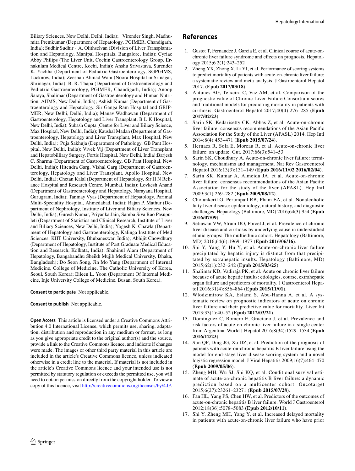Biliary Sciences, New Delhi, Delhi, India); Virender Singh, Madhumita Premkumar (Department of Hepatology, PGIMER, Chandigarh, India); Sudhir Sudhir · A. Olithselvan (Division of Liver Transplantation and Hepatology, Manipal Hospitals, Bangalore, India); Cyriac Abby Philips (The Liver Unit, Cochin Gastroenterology Group, Ernakulam Medical Centre, Kochi, India); Anshu Srivastava, Surender K. Yachha (Department of Pediatric Gastroenterology, SGPGIMS, Lucknow, India); Zeeshan Ahmad Wani (Noora Hospital in Srinagar, Shrinagar, India); B. R. Thapa (Department of Gastroenterology and Pediatric Gastroenterology, PGIMER, Chandigarh, India); Anoop Saraya, Shalimar (Department of Gastroenterology and Human Nutrition, AIIMS, New Delhi, India); Ashish Kumar (Department of Gastroenterology and Hepatology, Sir Ganga Ram Hospital and GRIP-MER, New Delhi, Delhi, India); Manav Wadhawan (Department of Gastroenterology, Hepatology and Liver Transplant, B L K Hospital, New Delhi, India); Subash Gupta (Centre for Liver and Biliary Science, Max Hospital, New Delhi, India); Kaushal Madan (Department of Gastroenterology, Hepatology and Liver Transplant, Max Hospital, New Delhi, India); Puja Sakhuja (Department of Pathology, GB Pant Hospital, New Delhi, India); Vivek Vij (Department of Liver Transplant and Hepatobilliary Surgery, Fortis Hospital, New Delhi, India);Barjesh C. Sharma (Department of Gastroenterology, GB Pant Hospital, New Delhi, India); Hitendra Garg, Vishal Garg (Department of Gastroenterology, Hepatology and Liver Transplant, Apollo Hospital, New Delhi, India); Chetan Kalal (Department of Hepatology, Sir H N Reliance Hospital and Research Centre, Mumbai, India); Lovkesh Anand (Department of Gastroenterology and Hepatology, Narayana Hospital, Gurugram, India); Tanmay Vyas (Department of Hepatology, Parimal Multi-Speciality Hospital, Ahmedabad, India); Rajan P. Mathur (Department of Nephrology, Institute of Liver and Biliary Sciences, New Delhi, India); Guresh Kumar, Priyanka Jain, Samba Siva Rao Pasupuleti (Department of Statistics and Clinical Research, Institute of Liver and Biliary Sciences, New Delhi, India); Yogesh K. Chawla (Department of Hepatology and Gastroenterology, Kalinga Institute of Med Sciences, KIIT University, Bhubaneswar, India); Abhijit Chowdhury (Department of Hepatology, Institute of Post Graduate Medical Education and Research, Kolkata, India); Shahinul Alam (Department of Hepatology, Bangabandhu Sheikh Mujib Medical University, Dhaka, Bangladesh); Do Seon Song, Jin Mo Yang (Department of Internal Medicine, College of Medicine, The Catholic University of Korea, Seoul, South Korea); Eileen L. Yoon (Department Of Internal Medicine, Inje University College of Medicine, Busan, South Korea).

#### **Consent to participate** Not applicable.

**Consent to publish** Not applicable.

**Open Access** This article is licensed under a Creative Commons Attribution 4.0 International License, which permits use, sharing, adaptation, distribution and reproduction in any medium or format, as long as you give appropriate credit to the original author(s) and the source, provide a link to the Creative Commons licence, and indicate if changes were made. The images or other third party material in this article are included in the article's Creative Commons licence, unless indicated otherwise in a credit line to the material. If material is not included in the article's Creative Commons licence and your intended use is not permitted by statutory regulation or exceeds the permitted use, you will need to obtain permission directly from the copyright holder. To view a copy of this licence, visit <http://creativecommons.org/licenses/by/4.0/>.

#### **References**

- <span id="page-11-0"></span>1. Gustot T, Fernandez J, Garcia E, et al. Clinical course of acute-onchronic liver failure syndrome and efects on prognosis. Hepatology 2015;6 2(1):243–252
- <span id="page-11-3"></span>2. Zheng YX, Zhong X, Li YJ, et al. Performance of scoring systems to predict mortality of patients with acute-on-chronic liver failure: a systematic review and meta-analysis. J Gastroenterol Hepatol 2017. (**Epub 2017/03/18**).
- <span id="page-11-4"></span>3. Antunes AG, Teixeira C, Vaz AM, et al. Comparison of the prognostic value of Chronic Liver Failure Consortium scores and traditional models for predicting mortality in patients with cirrhosis. Gastroenterol Hepatol 2017;40(4):276–285 (**Epub 2017/02/23**).
- <span id="page-11-5"></span>Sarin SK, Kedarisetty CK, Abbas Z, et al. Acute-on-chronic liver failure: consensus recommendations of the Asian Pacifc Association for the Study of the Liver (APASL) 2014. Hep Intl 2014;8(4):453–471 (**Epub 2015/07/24**).
- <span id="page-11-6"></span>5. Hernaez R, Sola E, Moreau R, et al. Acute-on-chronic liver failure: an update. Gut. 2017;66(3):541–53.
- <span id="page-11-7"></span>6. Sarin SK, Choudhury A. Acute-on-chronic liver failure: terminology, mechanisms and management. Nat Rev Gastroenterol Hepatol 2016;13(3):131–149 (**Epub 2016/11/02 2016/02/04**).
- <span id="page-11-1"></span>7. Sarin SK, Kumar A, Almeida JA, et al. Acute-on-chronic liver failure: consensus recommendations of the Asian Pacifc Association for the study of the liver (APASL). Hep Intl 2009;3(1):269–282 (**Epub 2009/08/12**).
- <span id="page-11-8"></span>8. Cholankeril G, Perumpail RB, Pham EA, et al. Nonalcoholic fatty liver disease: epidemiology, natural history, and diagnostic challenges. Hepatology (Baltimore, MD) 2016;64(3):954 (**Epub 2016/07/09**).
- <span id="page-11-2"></span>9. Setiawan VW, Stram DO, Porcel J, et al. Prevalence of chronic liver disease and cirrhosis by underlying cause in understudied ethnic groups: The multiethnic cohort. Hepatology (Baltimore, MD) 2016;64(6):1969–1977 (**Epub 2016/06/16**).
- <span id="page-11-9"></span>10. Shi Y, Yang Y, Hu Y, et al. Acute-on-chronic liver failure precipitated by hepatic injury is distinct from that precipitated by extrahepatic insults. Hepatology (Baltimore, MD) 2015;62(1):232–242 (**Epub 2015/03/25**).
- <span id="page-11-10"></span>11. Shalimar KD, Vadiraja PK, et al. Acute on chronic liver failure because of acute hepatic insults: etiologies, course, extrahepatic organ failure and predictors of mortality. J Gastroenterol Hepatol 2016;31(4):856–864 (**Epub 2015/11/01**).
- <span id="page-11-11"></span>12. Wlodzimirow KA, Eslami S, Abu-Hanna A, et al. A systematic review on prognostic indicators of acute on chronic liver failure and their predictive value for mortality. Liver Int 2013;33(1):40–52 (**Epub 2012/03/21**).
- 13. Dominguez C, Romero E, Graciano J, et al. Prevalence and risk factors of acute-on-chronic liver failure in a single center from Argentina. World J Hepatol 2016;8(34):1529–1534 (**Epub 2016/12/23**).
- <span id="page-11-15"></span>14. Sun QF, Ding JG, Xu DZ, et al. Prediction of the prognosis of patients with acute-on-chronic hepatitis B liver failure using the model for end-stage liver disease scoring system and a novel logistic regression model. J Viral Hepatitis 2009;16(7):464–470 (**Epub 2009/05/06**).
- <span id="page-11-13"></span>15. Zheng MH, Wu SJ, Shi KQ, et al. Conditional survival estimate of acute-on-chronic hepatitis B liver failure: a dynamic prediction based on a multicenter cohort. Oncotarget 2015;6(27):23261–23271 (**Epub 2015/07/28**).
- <span id="page-11-14"></span>16. Fan HL, Yang PS, Chen HW, et al. Predictors of the outcomes of acute-on-chronic hepatitis B liver failure. World J Gastroenterol 2012;18(36):5078–5083 (**Epub 2012/10/11**).
- <span id="page-11-12"></span>17. Shi Y, Zheng MH, Yang Y, et al. Increased delayed mortality in patients with acute-on-chronic liver failure who have prior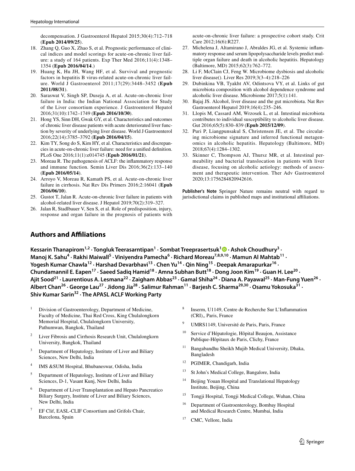decompensation. J Gastroenterol Hepatol 2015;30(4):712–718 (**Epub 2014/09/25**).

- 18. Zhang Q, Guo X, Zhao S, et al. Prognostic performance of clinical indices and model scorings for acute-on-chronic liver failure: a study of 164 patients. Exp Ther Med 2016;11(4):1348– 1354 (**Epub 2016/04/14**.)
- <span id="page-12-3"></span>19. Huang K, Hu JH, Wang HF, et al. Survival and prognostic factors in hepatitis B virus-related acute-on-chronic liver failure. World J Gastroenterol 2011;17(29):3448–3452 (**Epub 2011/08/31**).
- <span id="page-12-0"></span>20. Saraswat V, Singh SP, Duseja A, et al. Acute-on-chronic liver failure in India: the Indian National Association for Study of the Liver consortium experience. J Gastroenterol Hepatol 2016;31(10):1742–1749 (**Epub 2016/10/30**).
- <span id="page-12-1"></span>21. Hong YS, Sinn DH, Gwak GY, et al. Characteristics and outcomes of chronic liver disease patients with acute deteriorated liver function by severity of underlying liver disease. World J Gastroenterol 2016;22(14):3785–3792 (**Epub 2016/04/15**).
- <span id="page-12-2"></span>22. Kim TY, Song do S, Kim HY, et al. Characteristics and discrepancies in acute-on-chronic liver failure: need for a unifed defnition. PLoS One 2016;11(1):e014745 (**Epub 2016/01/21**).
- <span id="page-12-4"></span>23. Moreau R. The pathogenesis of ACLF: the infammatory response and immune function. Semin Liver Dis 2016;36(2):133–140 (**Epub 2016/05/14**).
- <span id="page-12-5"></span>24. Arroyo V, Moreau R, Kamath PS, et al. Acute-on-chronic liver failure in cirrhosis. Nat Rev Dis Primers 2016;2:16041 (**Epub 2016/06/10**).
- <span id="page-12-6"></span>25. Gustot T, Jalan R. Acute-on-chronic liver failure in patients with alcohol-related liver disease. J Hepatol 2019;70(2):319–327.
- 26. Jalan R, Stadlbauer V, Sen S, et al. Role of predisposition, injury, response and organ failure in the prognosis of patients with

acute-on-chronic liver failure: a prospective cohort study. Crit Care 2012;16(6):R227.

- <span id="page-12-7"></span>27. Michelena J, Altamirano J, Abraldes JG, et al. Systemic infammatory response and serum lipopolysaccharide levels predict multiple organ failure and death in alcoholic hepatitis. Hepatology (Baltimore, MD) 2015;62(3):762–772.
- <span id="page-12-8"></span>28. Li F, McClain CJ, Feng W. Microbiome dysbiosis and alcoholic liver disease(). Liver Res 2019;3(3–4):218–226
- 29. Dubinkina VB, Tyakht AV, Odintsova VY, et al. Links of gut microbiota composition with alcohol dependence syndrome and alcoholic liver disease. Microbiome 2017;5(1):141.
- <span id="page-12-9"></span>30. Bajaj JS. Alcohol, liver disease and the gut microbiota. Nat Rev Gastroenterol Hepatol 2019;16(4):235–246.
- <span id="page-12-10"></span>31. Llopis M, Cassard AM, Wrzosek L, et al. Intestinal microbiota contributes to individual susceptibility to alcoholic liver disease. Gut 2016;65(5):830–839 (**Epub 2015/12/09**).
- 32. Puri P, Liangpunsakul S, Christensen JE, et al. The circulating microbiome signature and inferred functional metagenomics in alcoholic hepatitis. Hepatology (Baltimore, MD) 2018;67(4):1284–1302.
- <span id="page-12-11"></span>33. Skinner C, Thompson AJ, Thursz MR, et al. Intestinal permeability and bacterial translocation in patients with liver disease, focusing on alcoholic aetiology: methods of assessment and therapeutic intervention. Ther Adv Gastroenterol 2020;13:1756284820942616.

**Publisher's Note** Springer Nature remains neutral with regard to jurisdictional claims in published maps and institutional affiliations.

## **Authors and Afliations**

Kessarin Thanapirom<sup>1,2</sup> [·](http://orcid.org/0000-0001-6459-8329) Tongluk Teerasarntipan<sup>1</sup> · Sombat Treeprasertsuk<sup>1</sup> <sup>1</sup> · Ashok Choudhury<sup>3</sup> · Manoj K. Sahu<sup>4</sup> · Rakhi Maiwall<sup>5</sup> · Viniyendra Pamecha<sup>6</sup> · Richard Moreau<sup>7,8,9,10</sup> · Mamun Al Mahtab<sup>11</sup> · Yogesh Kumar Chawla<sup>12</sup> · Harshad Devarbhavi<sup>13</sup> · Chen Yu<sup>14</sup> · Qin Ning<sup>15</sup> · Deepak Amarapurkar<sup>16</sup> · **Chundamannil E. Eapen17 · Saeed Sadiq Hamid18 · Amna Subhan Butt18 · Dong Joon Kim19 · Guan H. Lee20 ·**  Ajit Sood<sup>21</sup> · Laurentious A. Lesmana<sup>22</sup> · Zaigham Abbas<sup>23</sup> · Gamal Shiha<sup>24</sup> · Diana A. Payawal<sup>25</sup> · Man-Fung Yuen<sup>26</sup> · **Albert Chan26 · George Lau27 · Jidong Jia28 · Salimur Rahman11 · Barjesh C. Sharma29,30 · Osamu Yokosuka31 · Shiv Kumar Sarin32 · The APASL ACLF Working Party**

- $1$  Division of Gastroenterology, Department of Medicine, Faculty of Medicine, Thai Red Cross, King Chulalongkorn Memorial Hospital, Chulalongkorn University, Pathumwan, Bangkok, Thailand
- <sup>2</sup> Liver Fibrosis and Cirrhosis Research Unit, Chulalongkorn University, Bangkok, Thailand
- Department of Hepatology, Institute of Liver and Biliary Sciences, New Delhi, India
- <sup>4</sup> IMS &SUM Hospital, Bhubaneswar, Odisha, India
- <sup>5</sup> Department of Hepatology, Institute of Liver and Biliary Sciences, D-1, Vasant Kunj, New Delhi, India
- <sup>6</sup> Department of Liver Transplantation and Hepato Pancreatico Biliary Surgery, Institute of Liver and Biliary Sciences, New Delhi, India
- <sup>7</sup> EF Clif, EASL-CLIF Consortium and Grifols Chair, Barcelona, Spain
- <sup>8</sup> Inserm, U1149, Centre de Recherche Sur L'Infammation (CRI),, Paris, France
- <sup>9</sup> UMRS1149, Université de Paris, Paris, France
- <sup>10</sup> Service d'Hépatologie, Hôpital Beaujon, Assistance Publique-Hôpitaux de Paris, Clichy, France
- <sup>11</sup> Bangabandhu Sheikh Mujib Medical University, Dhaka, Bangladesh
- <sup>12</sup> PGIMER, Chandigarh, India
- <sup>13</sup> St John's Medical College, Bangalore, India
- <sup>14</sup> Beijing Youan Hospital and Translational Hepatology Institute, Beijing, China
- <sup>15</sup> Tongji Hospital, Tongji Medical College, Wuhan, China
- <sup>16</sup> Department of Gastroenterology, Bombay Hospital and Medical Research Centre, Mumbai, India
- <sup>17</sup> CMC, Vellore, India